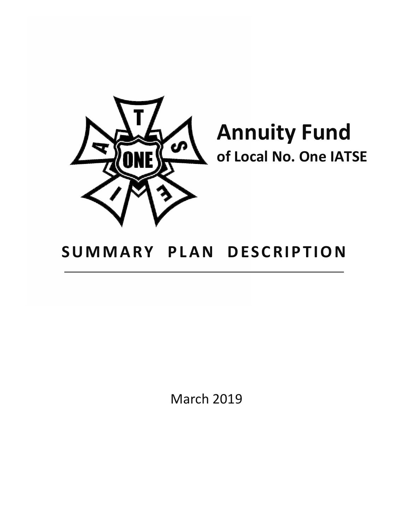

**Annuity Fund of Local No. One IATSE**

# **SUMMARY PLAN DESCRIPTION**

March 2019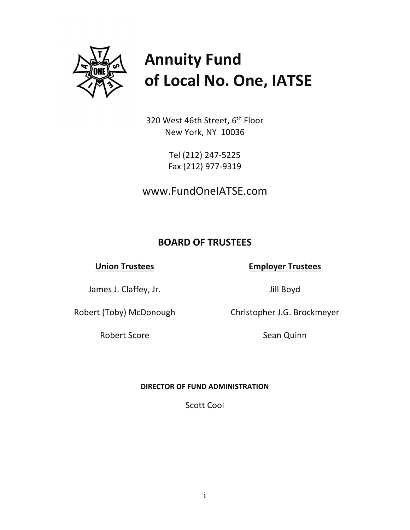

# **Annuity Fund of Local No. One, IATSE**

320 West 46th Street, 6<sup>th</sup> Floor New York, NY 10036

> Tel (212) 247‐5225 Fax (212) 977‐9319

www.FundOneIATSE.com

# **BOARD OF TRUSTEES**

# **Union Trustees**

## **Employer Trustees**

James J. Claffey, Jr.

Jill Boyd

Christopher J.G. Brockmeyer

Robert (Toby) McDonough

Robert Score

Sean Quinn

### **DIRECTOR OF FUND ADMINISTRATION**

Scott Cool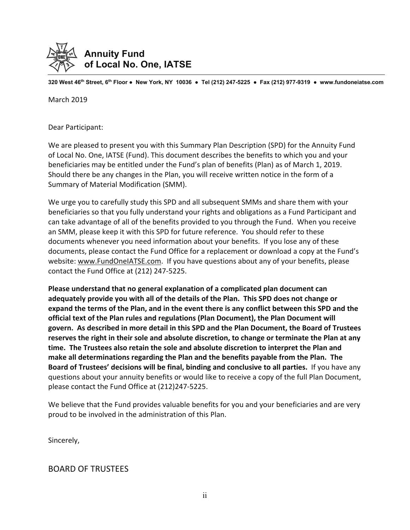

**320 West 46th Street, 6th Floor ● New York, NY 10036 ● Tel (212) 247-5225 ● Fax (212) 977-9319 ● www.fundoneiatse.com** 

March 2019

Dear Participant:

We are pleased to present you with this Summary Plan Description (SPD) for the Annuity Fund of Local No. One, IATSE (Fund). This document describes the benefits to which you and your beneficiaries may be entitled under the Fund's plan of benefits (Plan) as of March 1, 2019. Should there be any changes in the Plan, you will receive written notice in the form of a Summary of Material Modification (SMM).

We urge you to carefully study this SPD and all subsequent SMMs and share them with your beneficiaries so that you fully understand your rights and obligations as a Fund Participant and can take advantage of all of the benefits provided to you through the Fund. When you receive an SMM, please keep it with this SPD for future reference. You should refer to these documents whenever you need information about your benefits. If you lose any of these documents, please contact the Fund Office for a replacement or download a copy at the Fund's website: www.FundOneIATSE.com. If you have questions about any of your benefits, please contact the Fund Office at (212) 247‐5225.

**Please understand that no general explanation of a complicated plan document can adequately provide you with all of the details of the Plan. This SPD does not change or** expand the terms of the Plan, and in the event there is any conflict between this SPD and the **official text of the Plan rules and regulations (Plan Document), the Plan Document will govern. As described in more detail in this SPD and the Plan Document, the Board of Trustees reserves the right in their sole and absolute discretion, to change or terminate the Plan at any time. The Trustees also retain the sole and absolute discretion to interpret the Plan and make all determinations regarding the Plan and the benefits payable from the Plan. The Board of Trustees' decisions will be final, binding and conclusive to all parties.** If you have any questions about your annuity benefits or would like to receive a copy of the full Plan Document, please contact the Fund Office at (212)247‐5225.

We believe that the Fund provides valuable benefits for you and your beneficiaries and are very proud to be involved in the administration of this Plan.

Sincerely,

### BOARD OF TRUSTEES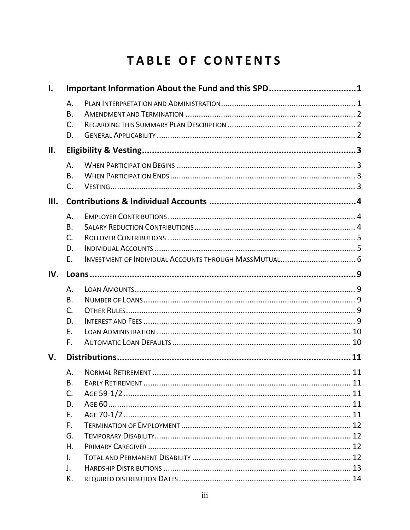# TABLE OF CONTENTS

|                                                                                 | Important Information About the Fund and this SPD1 |  |  |
|---------------------------------------------------------------------------------|----------------------------------------------------|--|--|
| Α.<br><b>B.</b><br>C.<br>D.                                                     |                                                    |  |  |
|                                                                                 |                                                    |  |  |
| Α.<br><b>B.</b><br>C.                                                           |                                                    |  |  |
|                                                                                 |                                                    |  |  |
| Α.<br><b>B.</b><br>C.<br>D.<br>Ε.                                               |                                                    |  |  |
|                                                                                 |                                                    |  |  |
| Α.<br><b>B.</b><br>$C_{1}$<br>D.<br>Ε.<br>F.                                    |                                                    |  |  |
|                                                                                 |                                                    |  |  |
| Α.<br><b>B.</b><br>C.<br>D.<br>E.<br>F.<br>G.<br>Η.<br>$\mathbf{L}$<br>J.<br>К. |                                                    |  |  |
|                                                                                 |                                                    |  |  |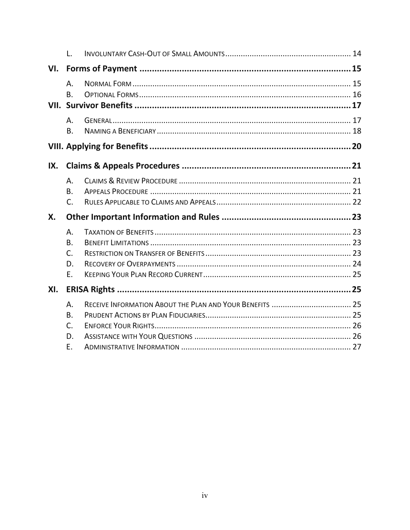|           | Τ.                                            |  |  |
|-----------|-----------------------------------------------|--|--|
| VI.       |                                               |  |  |
|           | Α.<br><b>B.</b>                               |  |  |
|           | Α.<br><b>B.</b>                               |  |  |
|           |                                               |  |  |
| IX.       |                                               |  |  |
|           | Α.<br><b>B.</b><br>C.                         |  |  |
| <b>X.</b> |                                               |  |  |
|           | Α.<br><b>B.</b><br>$\mathsf{C}$ .<br>D.<br>E. |  |  |
| XI.       |                                               |  |  |
|           | Α.<br>B.<br>C.<br>D.                          |  |  |
|           | E.                                            |  |  |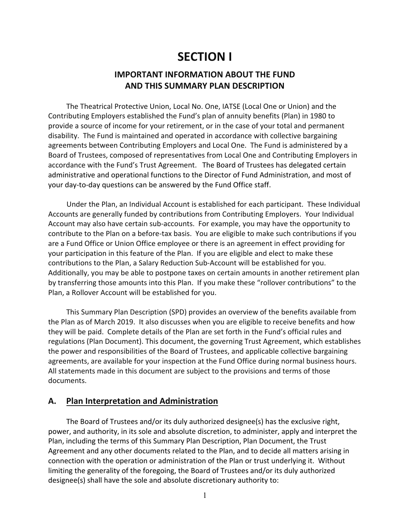# **SECTION I**

# **IMPORTANT INFORMATION ABOUT THE FUND AND THIS SUMMARY PLAN DESCRIPTION**

The Theatrical Protective Union, Local No. One, IATSE (Local One or Union) and the Contributing Employers established the Fund's plan of annuity benefits (Plan) in 1980 to provide a source of income for your retirement, or in the case of your total and permanent disability. The Fund is maintained and operated in accordance with collective bargaining agreements between Contributing Employers and Local One. The Fund is administered by a Board of Trustees, composed of representatives from Local One and Contributing Employers in accordance with the Fund's Trust Agreement. The Board of Trustees has delegated certain administrative and operational functions to the Director of Fund Administration, and most of your day‐to‐day questions can be answered by the Fund Office staff.

Under the Plan, an Individual Account is established for each participant. These Individual Accounts are generally funded by contributions from Contributing Employers. Your Individual Account may also have certain sub‐accounts. For example, you may have the opportunity to contribute to the Plan on a before‐tax basis. You are eligible to make such contributions if you are a Fund Office or Union Office employee or there is an agreement in effect providing for your participation in this feature of the Plan. If you are eligible and elect to make these contributions to the Plan, a Salary Reduction Sub‐Account will be established for you. Additionally, you may be able to postpone taxes on certain amounts in another retirement plan by transferring those amounts into this Plan. If you make these "rollover contributions" to the Plan, a Rollover Account will be established for you.

This Summary Plan Description (SPD) provides an overview of the benefits available from the Plan as of March 2019. It also discusses when you are eligible to receive benefits and how they will be paid. Complete details of the Plan are set forth in the Fund's official rules and regulations (Plan Document). This document, the governing Trust Agreement, which establishes the power and responsibilities of the Board of Trustees, and applicable collective bargaining agreements, are available for your inspection at the Fund Office during normal business hours. All statements made in this document are subject to the provisions and terms of those documents.

#### **A. Plan Interpretation and Administration**

The Board of Trustees and/or its duly authorized designee(s) has the exclusive right, power, and authority, in its sole and absolute discretion, to administer, apply and interpret the Plan, including the terms of this Summary Plan Description, Plan Document, the Trust Agreement and any other documents related to the Plan, and to decide all matters arising in connection with the operation or administration of the Plan or trust underlying it. Without limiting the generality of the foregoing, the Board of Trustees and/or its duly authorized designee(s) shall have the sole and absolute discretionary authority to: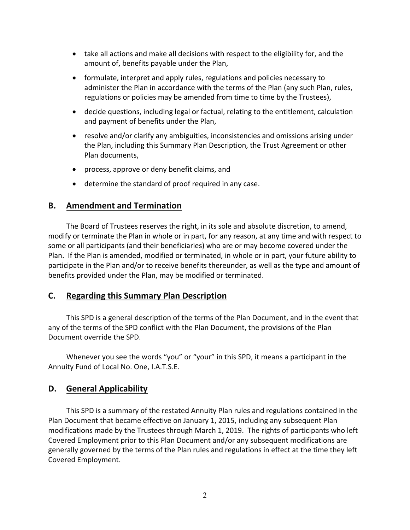- take all actions and make all decisions with respect to the eligibility for, and the amount of, benefits payable under the Plan,
- formulate, interpret and apply rules, regulations and policies necessary to administer the Plan in accordance with the terms of the Plan (any such Plan, rules, regulations or policies may be amended from time to time by the Trustees),
- decide questions, including legal or factual, relating to the entitlement, calculation and payment of benefits under the Plan,
- resolve and/or clarify any ambiguities, inconsistencies and omissions arising under the Plan, including this Summary Plan Description, the Trust Agreement or other Plan documents,
- process, approve or deny benefit claims, and
- determine the standard of proof required in any case.

### **B. Amendment and Termination**

The Board of Trustees reserves the right, in its sole and absolute discretion, to amend, modify or terminate the Plan in whole or in part, for any reason, at any time and with respect to some or all participants (and their beneficiaries) who are or may become covered under the Plan. If the Plan is amended, modified or terminated, in whole or in part, your future ability to participate in the Plan and/or to receive benefits thereunder, as well as the type and amount of benefits provided under the Plan, may be modified or terminated.

### **C. Regarding this Summary Plan Description**

This SPD is a general description of the terms of the Plan Document, and in the event that any of the terms of the SPD conflict with the Plan Document, the provisions of the Plan Document override the SPD.

Whenever you see the words "you" or "your" in this SPD, it means a participant in the Annuity Fund of Local No. One, I.A.T.S.E.

# **D. General Applicability**

This SPD is a summary of the restated Annuity Plan rules and regulations contained in the Plan Document that became effective on January 1, 2015, including any subsequent Plan modifications made by the Trustees through March 1, 2019. The rights of participants who left Covered Employment prior to this Plan Document and/or any subsequent modifications are generally governed by the terms of the Plan rules and regulations in effect at the time they left Covered Employment.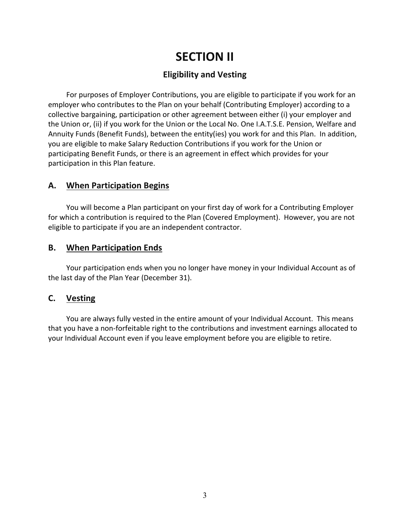# **SECTION II**

# **Eligibility and Vesting**

For purposes of Employer Contributions, you are eligible to participate if you work for an employer who contributes to the Plan on your behalf (Contributing Employer) according to a collective bargaining, participation or other agreement between either (i) your employer and the Union or, (ii) if you work for the Union or the Local No. One I.A.T.S.E. Pension, Welfare and Annuity Funds (Benefit Funds), between the entity(ies) you work for and this Plan. In addition, you are eligible to make Salary Reduction Contributions if you work for the Union or participating Benefit Funds, or there is an agreement in effect which provides for your participation in this Plan feature.

### **A. When Participation Begins**

You will become a Plan participant on your first day of work for a Contributing Employer for which a contribution is required to the Plan (Covered Employment). However, you are not eligible to participate if you are an independent contractor.

### **B. When Participation Ends**

Your participation ends when you no longer have money in your Individual Account as of the last day of the Plan Year (December 31).

# **C. Vesting**

You are always fully vested in the entire amount of your Individual Account. This means that you have a non‐forfeitable right to the contributions and investment earnings allocated to your Individual Account even if you leave employment before you are eligible to retire.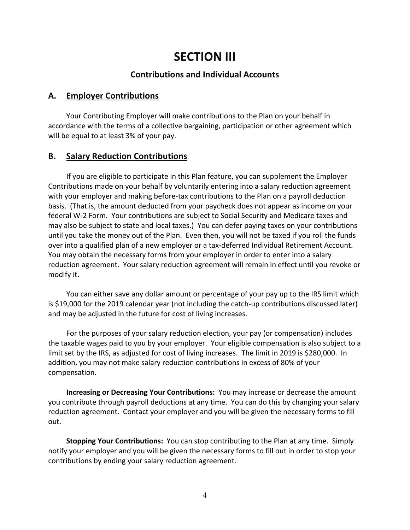# **SECTION III**

### **Contributions and Individual Accounts**

### **A. Employer Contributions**

Your Contributing Employer will make contributions to the Plan on your behalf in accordance with the terms of a collective bargaining, participation or other agreement which will be equal to at least 3% of your pay.

### **B. Salary Reduction Contributions**

If you are eligible to participate in this Plan feature, you can supplement the Employer Contributions made on your behalf by voluntarily entering into a salary reduction agreement with your employer and making before-tax contributions to the Plan on a payroll deduction basis. (That is, the amount deducted from your paycheck does not appear as income on your federal W‐2 Form. Your contributions are subject to Social Security and Medicare taxes and may also be subject to state and local taxes.) You can defer paying taxes on your contributions until you take the money out of the Plan. Even then, you will not be taxed if you roll the funds over into a qualified plan of a new employer or a tax‐deferred Individual Retirement Account. You may obtain the necessary forms from your employer in order to enter into a salary reduction agreement. Your salary reduction agreement will remain in effect until you revoke or modify it.

You can either save any dollar amount or percentage of your pay up to the IRS limit which is \$19,000 for the 2019 calendar year (not including the catch-up contributions discussed later) and may be adjusted in the future for cost of living increases.

For the purposes of your salary reduction election, your pay (or compensation) includes the taxable wages paid to you by your employer. Your eligible compensation is also subject to a limit set by the IRS, as adjusted for cost of living increases. The limit in 2019 is \$280,000. In addition, you may not make salary reduction contributions in excess of 80% of your compensation.

**Increasing or Decreasing Your Contributions:** You may increase or decrease the amount you contribute through payroll deductions at any time. You can do this by changing your salary reduction agreement. Contact your employer and you will be given the necessary forms to fill out.

**Stopping Your Contributions:** You can stop contributing to the Plan at any time. Simply notify your employer and you will be given the necessary forms to fill out in order to stop your contributions by ending your salary reduction agreement.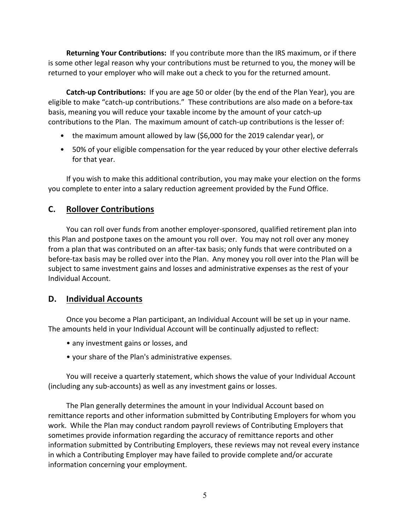**Returning Your Contributions:** If you contribute more than the IRS maximum, or if there is some other legal reason why your contributions must be returned to you, the money will be returned to your employer who will make out a check to you for the returned amount.

**Catch‐up Contributions:** If you are age 50 or older (by the end of the Plan Year), you are eligible to make "catch‐up contributions." These contributions are also made on a before‐tax basis, meaning you will reduce your taxable income by the amount of your catch‐up contributions to the Plan. The maximum amount of catch‐up contributions is the lesser of:

- the maximum amount allowed by law (\$6,000 for the 2019 calendar year), or
- 50% of your eligible compensation for the year reduced by your other elective deferrals for that year.

If you wish to make this additional contribution, you may make your election on the forms you complete to enter into a salary reduction agreement provided by the Fund Office.

# **C. Rollover Contributions**

You can roll over funds from another employer‐sponsored, qualified retirement plan into this Plan and postpone taxes on the amount you roll over. You may not roll over any money from a plan that was contributed on an after-tax basis; only funds that were contributed on a before-tax basis may be rolled over into the Plan. Any money you roll over into the Plan will be subject to same investment gains and losses and administrative expenses as the rest of your Individual Account.

# **D. Individual Accounts**

Once you become a Plan participant, an Individual Account will be set up in your name. The amounts held in your Individual Account will be continually adjusted to reflect:

- any investment gains or losses, and
- your share of the Plan's administrative expenses.

You will receive a quarterly statement, which shows the value of your Individual Account (including any sub‐accounts) as well as any investment gains or losses.

The Plan generally determines the amount in your Individual Account based on remittance reports and other information submitted by Contributing Employers for whom you work. While the Plan may conduct random payroll reviews of Contributing Employers that sometimes provide information regarding the accuracy of remittance reports and other information submitted by Contributing Employers, these reviews may not reveal every instance in which a Contributing Employer may have failed to provide complete and/or accurate information concerning your employment.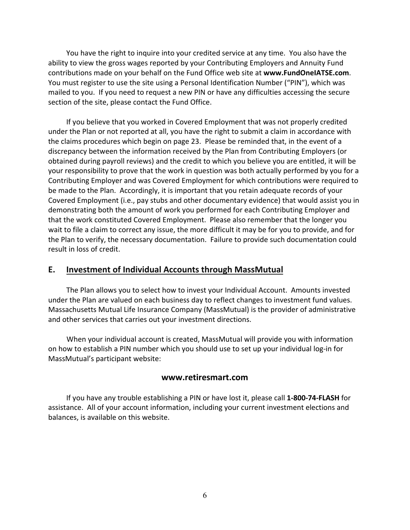You have the right to inquire into your credited service at any time. You also have the ability to view the gross wages reported by your Contributing Employers and Annuity Fund contributions made on your behalf on the Fund Office web site at **www.FundOneIATSE.com**. You must register to use the site using a Personal Identification Number ("PIN"), which was mailed to you. If you need to request a new PIN or have any difficulties accessing the secure section of the site, please contact the Fund Office.

If you believe that you worked in Covered Employment that was not properly credited under the Plan or not reported at all, you have the right to submit a claim in accordance with the claims procedures which begin on page 23. Please be reminded that, in the event of a discrepancy between the information received by the Plan from Contributing Employers (or obtained during payroll reviews) and the credit to which you believe you are entitled, it will be your responsibility to prove that the work in question was both actually performed by you for a Contributing Employer and was Covered Employment for which contributions were required to be made to the Plan. Accordingly, it is important that you retain adequate records of your Covered Employment (i.e., pay stubs and other documentary evidence) that would assist you in demonstrating both the amount of work you performed for each Contributing Employer and that the work constituted Covered Employment. Please also remember that the longer you wait to file a claim to correct any issue, the more difficult it may be for you to provide, and for the Plan to verify, the necessary documentation. Failure to provide such documentation could result in loss of credit.

### **E. Investment of Individual Accounts through MassMutual**

The Plan allows you to select how to invest your Individual Account. Amounts invested under the Plan are valued on each business day to reflect changes to investment fund values. Massachusetts Mutual Life Insurance Company (MassMutual) is the provider of administrative and other services that carries out your investment directions.

When your individual account is created, MassMutual will provide you with information on how to establish a PIN number which you should use to set up your individual log‐in for MassMutual's participant website:

#### **www.retiresmart.com**

If you have any trouble establishing a PIN or have lost it, please call **1‐800‐74‐FLASH** for assistance. All of your account information, including your current investment elections and balances, is available on this website.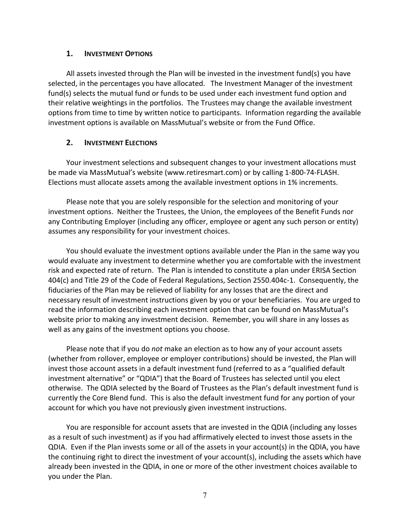#### **1. INVESTMENT OPTIONS**

All assets invested through the Plan will be invested in the investment fund(s) you have selected, in the percentages you have allocated. The Investment Manager of the investment fund(s) selects the mutual fund or funds to be used under each investment fund option and their relative weightings in the portfolios. The Trustees may change the available investment options from time to time by written notice to participants. Information regarding the available investment options is available on MassMutual's website or from the Fund Office.

### **2. INVESTMENT ELECTIONS**

Your investment selections and subsequent changes to your investment allocations must be made via MassMutual's website (www.retiresmart.com) or by calling 1‐800‐74‐FLASH. Elections must allocate assets among the available investment options in 1% increments.

Please note that you are solely responsible for the selection and monitoring of your investment options. Neither the Trustees, the Union, the employees of the Benefit Funds nor any Contributing Employer (including any officer, employee or agent any such person or entity) assumes any responsibility for your investment choices.

You should evaluate the investment options available under the Plan in the same way you would evaluate any investment to determine whether you are comfortable with the investment risk and expected rate of return. The Plan is intended to constitute a plan under ERISA Section 404(c) and Title 29 of the Code of Federal Regulations, Section 2550.404c‐1. Consequently, the fiduciaries of the Plan may be relieved of liability for any losses that are the direct and necessary result of investment instructions given by you or your beneficiaries. You are urged to read the information describing each investment option that can be found on MassMutual's website prior to making any investment decision. Remember, you will share in any losses as well as any gains of the investment options you choose.

Please note that if you do *not* make an election as to how any of your account assets (whether from rollover, employee or employer contributions) should be invested, the Plan will invest those account assets in a default investment fund (referred to as a "qualified default investment alternative" or "QDIA") that the Board of Trustees has selected until you elect otherwise. The QDIA selected by the Board of Trustees as the Plan's default investment fund is currently the Core Blend fund. This is also the default investment fund for any portion of your account for which you have not previously given investment instructions.

You are responsible for account assets that are invested in the QDIA (including any losses as a result of such investment) as if you had affirmatively elected to invest those assets in the QDIA. Even if the Plan invests some or all of the assets in your account(s) in the QDIA, you have the continuing right to direct the investment of your account(s), including the assets which have already been invested in the QDIA, in one or more of the other investment choices available to you under the Plan.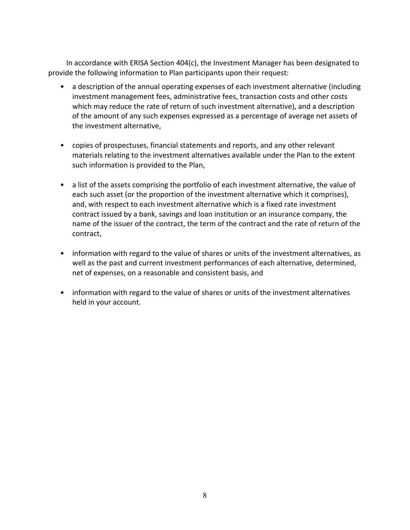In accordance with ERISA Section 404(c), the Investment Manager has been designated to provide the following information to Plan participants upon their request:

- a description of the annual operating expenses of each investment alternative (including investment management fees, administrative fees, transaction costs and other costs which may reduce the rate of return of such investment alternative), and a description of the amount of any such expenses expressed as a percentage of average net assets of the investment alternative,
- copies of prospectuses, financial statements and reports, and any other relevant materials relating to the investment alternatives available under the Plan to the extent such information is provided to the Plan,
- a list of the assets comprising the portfolio of each investment alternative, the value of each such asset (or the proportion of the investment alternative which it comprises), and, with respect to each investment alternative which is a fixed rate investment contract issued by a bank, savings and loan institution or an insurance company, the name of the issuer of the contract, the term of the contract and the rate of return of the contract,
- information with regard to the value of shares or units of the investment alternatives, as well as the past and current investment performances of each alternative, determined, net of expenses, on a reasonable and consistent basis, and
- information with regard to the value of shares or units of the investment alternatives held in your account.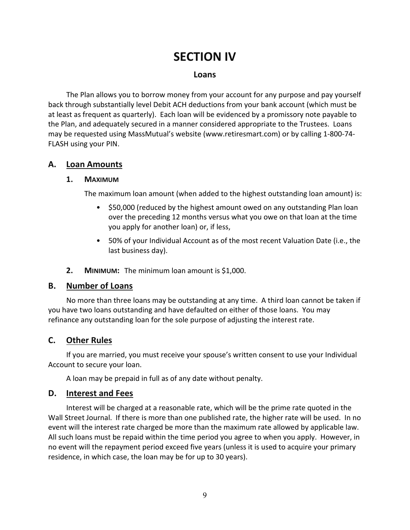# **SECTION IV**

### **Loans**

The Plan allows you to borrow money from your account for any purpose and pay yourself back through substantially level Debit ACH deductions from your bank account (which must be at least as frequent as quarterly). Each loan will be evidenced by a promissory note payable to the Plan, and adequately secured in a manner considered appropriate to the Trustees. Loans may be requested using MassMutual's website (www.retiresmart.com) or by calling 1‐800‐74‐ FLASH using your PIN.

### **A. Loan Amounts**

### **1. MAXIMUM**

The maximum loan amount (when added to the highest outstanding loan amount) is:

- \$50,000 (reduced by the highest amount owed on any outstanding Plan loan over the preceding 12 months versus what you owe on that loan at the time you apply for another loan) or, if less,
- 50% of your Individual Account as of the most recent Valuation Date (i.e., the last business day).
- **2. MINIMUM:** The minimum loan amount is \$1,000.

### **B. Number of Loans**

No more than three loans may be outstanding at any time. A third loan cannot be taken if you have two loans outstanding and have defaulted on either of those loans. You may refinance any outstanding loan for the sole purpose of adjusting the interest rate.

### **C. Other Rules**

If you are married, you must receive your spouse's written consent to use your Individual Account to secure your loan.

A loan may be prepaid in full as of any date without penalty.

### **D. Interest and Fees**

Interest will be charged at a reasonable rate, which will be the prime rate quoted in the Wall Street Journal. If there is more than one published rate, the higher rate will be used. In no event will the interest rate charged be more than the maximum rate allowed by applicable law. All such loans must be repaid within the time period you agree to when you apply. However, in no event will the repayment period exceed five years (unless it is used to acquire your primary residence, in which case, the loan may be for up to 30 years).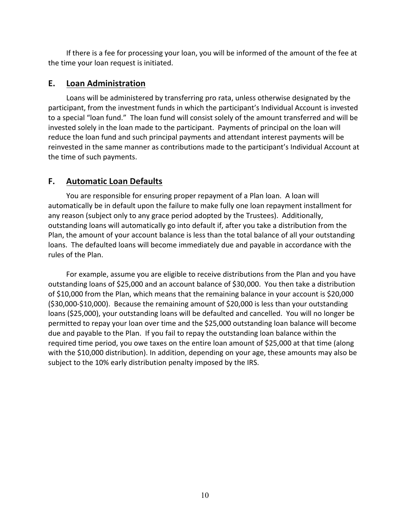If there is a fee for processing your loan, you will be informed of the amount of the fee at the time your loan request is initiated.

### **E. Loan Administration**

Loans will be administered by transferring pro rata, unless otherwise designated by the participant, from the investment funds in which the participant's Individual Account is invested to a special "loan fund." The loan fund will consist solely of the amount transferred and will be invested solely in the loan made to the participant. Payments of principal on the loan will reduce the loan fund and such principal payments and attendant interest payments will be reinvested in the same manner as contributions made to the participant's Individual Account at the time of such payments.

### **F. Automatic Loan Defaults**

You are responsible for ensuring proper repayment of a Plan loan. A loan will automatically be in default upon the failure to make fully one loan repayment installment for any reason (subject only to any grace period adopted by the Trustees). Additionally, outstanding loans will automatically go into default if, after you take a distribution from the Plan, the amount of your account balance is less than the total balance of all your outstanding loans. The defaulted loans will become immediately due and payable in accordance with the rules of the Plan.

For example, assume you are eligible to receive distributions from the Plan and you have outstanding loans of \$25,000 and an account balance of \$30,000. You then take a distribution of \$10,000 from the Plan, which means that the remaining balance in your account is \$20,000 (\$30,000‐\$10,000). Because the remaining amount of \$20,000 is less than your outstanding loans (\$25,000), your outstanding loans will be defaulted and cancelled. You will no longer be permitted to repay your loan over time and the \$25,000 outstanding loan balance will become due and payable to the Plan. If you fail to repay the outstanding loan balance within the required time period, you owe taxes on the entire loan amount of \$25,000 at that time (along with the \$10,000 distribution). In addition, depending on your age, these amounts may also be subject to the 10% early distribution penalty imposed by the IRS.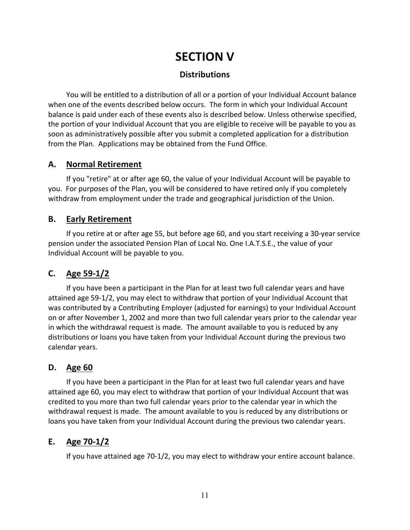# **SECTION V**

### **Distributions**

You will be entitled to a distribution of all or a portion of your Individual Account balance when one of the events described below occurs. The form in which your Individual Account balance is paid under each of these events also is described below. Unless otherwise specified, the portion of your Individual Account that you are eligible to receive will be payable to you as soon as administratively possible after you submit a completed application for a distribution from the Plan. Applications may be obtained from the Fund Office.

### **A. Normal Retirement**

If you "retire" at or after age 60, the value of your Individual Account will be payable to you. For purposes of the Plan, you will be considered to have retired only if you completely withdraw from employment under the trade and geographical jurisdiction of the Union.

### **B. Early Retirement**

If you retire at or after age 55, but before age 60, and you start receiving a 30‐year service pension under the associated Pension Plan of Local No. One I.A.T.S.E., the value of your Individual Account will be payable to you.

# **C. Age 59‐1/2**

If you have been a participant in the Plan for at least two full calendar years and have attained age 59‐1/2, you may elect to withdraw that portion of your Individual Account that was contributed by a Contributing Employer (adjusted for earnings) to your Individual Account on or after November 1, 2002 and more than two full calendar years prior to the calendar year in which the withdrawal request is made. The amount available to you is reduced by any distributions or loans you have taken from your Individual Account during the previous two calendar years.

# **D. Age 60**

If you have been a participant in the Plan for at least two full calendar years and have attained age 60, you may elect to withdraw that portion of your Individual Account that was credited to you more than two full calendar years prior to the calendar year in which the withdrawal request is made. The amount available to you is reduced by any distributions or loans you have taken from your Individual Account during the previous two calendar years.

# **E. Age 70‐1/2**

If you have attained age 70‐1/2, you may elect to withdraw your entire account balance.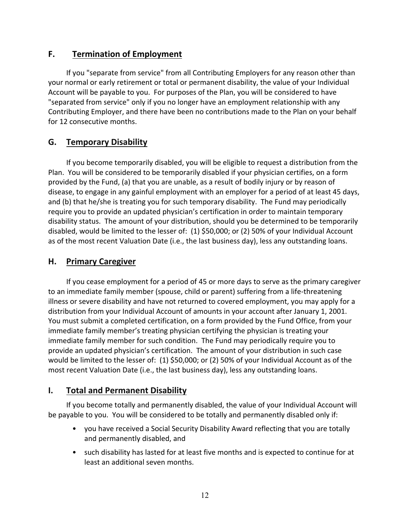# **F. Termination of Employment**

If you "separate from service" from all Contributing Employers for any reason other than your normal or early retirement or total or permanent disability, the value of your Individual Account will be payable to you. For purposes of the Plan, you will be considered to have "separated from service" only if you no longer have an employment relationship with any Contributing Employer, and there have been no contributions made to the Plan on your behalf for 12 consecutive months.

### **G. Temporary Disability**

If you become temporarily disabled, you will be eligible to request a distribution from the Plan. You will be considered to be temporarily disabled if your physician certifies, on a form provided by the Fund, (a) that you are unable, as a result of bodily injury or by reason of disease, to engage in any gainful employment with an employer for a period of at least 45 days, and (b) that he/she is treating you for such temporary disability. The Fund may periodically require you to provide an updated physician's certification in order to maintain temporary disability status. The amount of your distribution, should you be determined to be temporarily disabled, would be limited to the lesser of: (1) \$50,000; or (2) 50% of your Individual Account as of the most recent Valuation Date (i.e., the last business day), less any outstanding loans.

### **H. Primary Caregiver**

If you cease employment for a period of 45 or more days to serve as the primary caregiver to an immediate family member (spouse, child or parent) suffering from a life‐threatening illness or severe disability and have not returned to covered employment, you may apply for a distribution from your Individual Account of amounts in your account after January 1, 2001. You must submit a completed certification, on a form provided by the Fund Office, from your immediate family member's treating physician certifying the physician is treating your immediate family member for such condition. The Fund may periodically require you to provide an updated physician's certification. The amount of your distribution in such case would be limited to the lesser of: (1) \$50,000; or (2) 50% of your Individual Account as of the most recent Valuation Date (i.e., the last business day), less any outstanding loans.

### **I. Total and Permanent Disability**

If you become totally and permanently disabled, the value of your Individual Account will be payable to you. You will be considered to be totally and permanently disabled only if:

- you have received a Social Security Disability Award reflecting that you are totally and permanently disabled, and
- such disability has lasted for at least five months and is expected to continue for at least an additional seven months.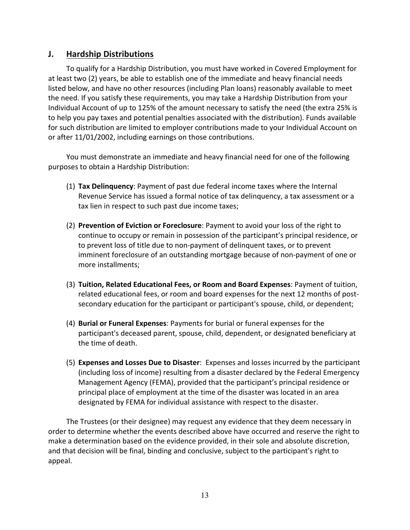### **J. Hardship Distributions**

To qualify for a Hardship Distribution, you must have worked in Covered Employment for at least two (2) years, be able to establish one of the immediate and heavy financial needs listed below, and have no other resources (including Plan loans) reasonably available to meet the need. If you satisfy these requirements, you may take a Hardship Distribution from your Individual Account of up to 125% of the amount necessary to satisfy the need (the extra 25% is to help you pay taxes and potential penalties associated with the distribution). Funds available for such distribution are limited to employer contributions made to your Individual Account on or after 11/01/2002, including earnings on those contributions.

You must demonstrate an immediate and heavy financial need for one of the following purposes to obtain a Hardship Distribution:

- (1) **Tax Delinquency**: Payment of past due federal income taxes where the Internal Revenue Service has issued a formal notice of tax delinquency, a tax assessment or a tax lien in respect to such past due income taxes;
- (2) **Prevention of Eviction or Foreclosure**: Payment to avoid your loss of the right to continue to occupy or remain in possession of the participant's principal residence, or to prevent loss of title due to non‐payment of delinquent taxes, or to prevent imminent foreclosure of an outstanding mortgage because of non‐payment of one or more installments;
- (3) **Tuition, Related Educational Fees, or Room and Board Expenses**: Payment of tuition, related educational fees, or room and board expenses for the next 12 months of post‐ secondary education for the participant or participant's spouse, child, or dependent;
- (4) **Burial or Funeral Expenses**: Payments for burial or funeral expenses for the participant's deceased parent, spouse, child, dependent, or designated beneficiary at the time of death.
- (5) **Expenses and Losses Due to Disaster**: Expenses and losses incurred by the participant (including loss of income) resulting from a disaster declared by the Federal Emergency Management Agency (FEMA), provided that the participant's principal residence or principal place of employment at the time of the disaster was located in an area designated by FEMA for individual assistance with respect to the disaster.

The Trustees (or their designee) may request any evidence that they deem necessary in order to determine whether the events described above have occurred and reserve the right to make a determination based on the evidence provided, in their sole and absolute discretion, and that decision will be final, binding and conclusive, subject to the participant's right to appeal.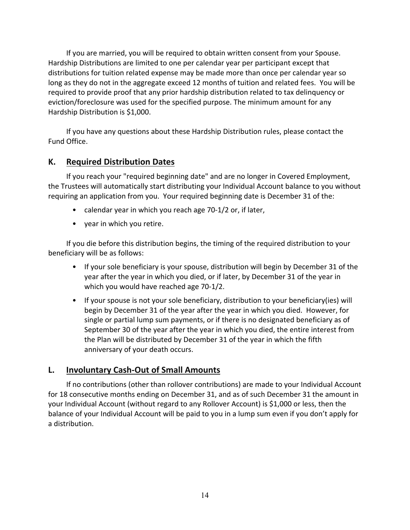If you are married, you will be required to obtain written consent from your Spouse. Hardship Distributions are limited to one per calendar year per participant except that distributions for tuition related expense may be made more than once per calendar year so long as they do not in the aggregate exceed 12 months of tuition and related fees. You will be required to provide proof that any prior hardship distribution related to tax delinquency or eviction/foreclosure was used for the specified purpose. The minimum amount for any Hardship Distribution is \$1,000.

If you have any questions about these Hardship Distribution rules, please contact the Fund Office.

### **K. Required Distribution Dates**

If you reach your "required beginning date" and are no longer in Covered Employment, the Trustees will automatically start distributing your Individual Account balance to you without requiring an application from you. Your required beginning date is December 31 of the:

- calendar year in which you reach age 70‐1/2 or, if later,
- year in which you retire.

If you die before this distribution begins, the timing of the required distribution to your beneficiary will be as follows:

- If your sole beneficiary is your spouse, distribution will begin by December 31 of the year after the year in which you died, or if later, by December 31 of the year in which you would have reached age 70‐1/2.
- If your spouse is not your sole beneficiary, distribution to your beneficiary(ies) will begin by December 31 of the year after the year in which you died. However, for single or partial lump sum payments, or if there is no designated beneficiary as of September 30 of the year after the year in which you died, the entire interest from the Plan will be distributed by December 31 of the year in which the fifth anniversary of your death occurs.

### **L. Involuntary Cash‐Out of Small Amounts**

If no contributions (other than rollover contributions) are made to your Individual Account for 18 consecutive months ending on December 31, and as of such December 31 the amount in your Individual Account (without regard to any Rollover Account) is \$1,000 or less, then the balance of your Individual Account will be paid to you in a lump sum even if you don't apply for a distribution.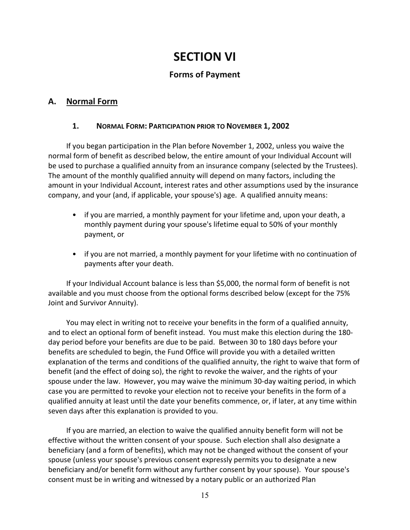# **SECTION VI**

# **Forms of Payment**

# **A. Normal Form**

### **1. NORMAL FORM: PARTICIPATION PRIOR TO NOVEMBER 1, 2002**

If you began participation in the Plan before November 1, 2002, unless you waive the normal form of benefit as described below, the entire amount of your Individual Account will be used to purchase a qualified annuity from an insurance company (selected by the Trustees). The amount of the monthly qualified annuity will depend on many factors, including the amount in your Individual Account, interest rates and other assumptions used by the insurance company, and your (and, if applicable, your spouse's) age. A qualified annuity means:

- if you are married, a monthly payment for your lifetime and, upon your death, a monthly payment during your spouse's lifetime equal to 50% of your monthly payment, or
- if you are not married, a monthly payment for your lifetime with no continuation of payments after your death.

If your Individual Account balance is less than \$5,000, the normal form of benefit is not available and you must choose from the optional forms described below (except for the 75% Joint and Survivor Annuity).

You may elect in writing not to receive your benefits in the form of a qualified annuity, and to elect an optional form of benefit instead. You must make this election during the 180‐ day period before your benefits are due to be paid. Between 30 to 180 days before your benefits are scheduled to begin, the Fund Office will provide you with a detailed written explanation of the terms and conditions of the qualified annuity, the right to waive that form of benefit (and the effect of doing so), the right to revoke the waiver, and the rights of your spouse under the law. However, you may waive the minimum 30‐day waiting period, in which case you are permitted to revoke your election not to receive your benefits in the form of a qualified annuity at least until the date your benefits commence, or, if later, at any time within seven days after this explanation is provided to you.

If you are married, an election to waive the qualified annuity benefit form will not be effective without the written consent of your spouse. Such election shall also designate a beneficiary (and a form of benefits), which may not be changed without the consent of your spouse (unless your spouse's previous consent expressly permits you to designate a new beneficiary and/or benefit form without any further consent by your spouse). Your spouse's consent must be in writing and witnessed by a notary public or an authorized Plan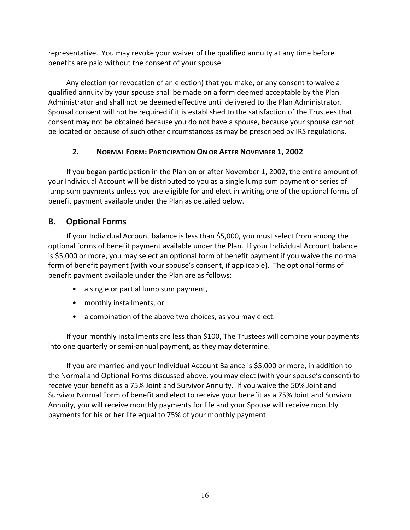representative. You may revoke your waiver of the qualified annuity at any time before benefits are paid without the consent of your spouse.

Any election (or revocation of an election) that you make, or any consent to waive a qualified annuity by your spouse shall be made on a form deemed acceptable by the Plan Administrator and shall not be deemed effective until delivered to the Plan Administrator. Spousal consent will not be required if it is established to the satisfaction of the Trustees that consent may not be obtained because you do not have a spouse, because your spouse cannot be located or because of such other circumstances as may be prescribed by IRS regulations.

### **2. NORMAL FORM: PARTICIPATION ON OR AFTER NOVEMBER 1, 2002**

If you began participation in the Plan on or after November 1, 2002, the entire amount of your Individual Account will be distributed to you as a single lump sum payment or series of lump sum payments unless you are eligible for and elect in writing one of the optional forms of benefit payment available under the Plan as detailed below.

# **B. Optional Forms**

If your Individual Account balance is less than \$5,000, you must select from among the optional forms of benefit payment available under the Plan. If your Individual Account balance is \$5,000 or more, you may select an optional form of benefit payment if you waive the normal form of benefit payment (with your spouse's consent, if applicable). The optional forms of benefit payment available under the Plan are as follows:

- a single or partial lump sum payment,
- monthly installments, or
- a combination of the above two choices, as you may elect.

If your monthly installments are less than \$100, The Trustees will combine your payments into one quarterly or semi-annual payment, as they may determine.

If you are married and your Individual Account Balance is \$5,000 or more, in addition to the Normal and Optional Forms discussed above, you may elect (with your spouse's consent) to receive your benefit as a 75% Joint and Survivor Annuity. If you waive the 50% Joint and Survivor Normal Form of benefit and elect to receive your benefit as a 75% Joint and Survivor Annuity, you will receive monthly payments for life and your Spouse will receive monthly payments for his or her life equal to 75% of your monthly payment.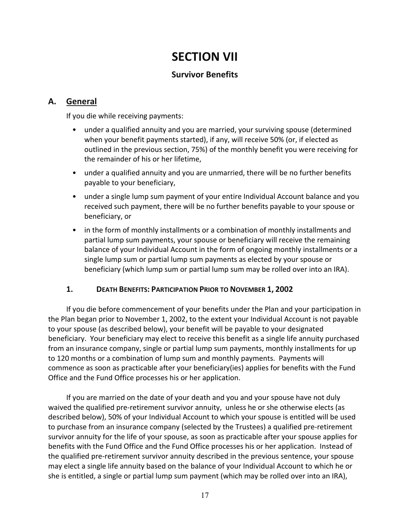# **SECTION VII**

## **Survivor Benefits**

## **A. General**

If you die while receiving payments:

- under a qualified annuity and you are married, your surviving spouse (determined when your benefit payments started), if any, will receive 50% (or, if elected as outlined in the previous section, 75%) of the monthly benefit you were receiving for the remainder of his or her lifetime,
- under a qualified annuity and you are unmarried, there will be no further benefits payable to your beneficiary,
- under a single lump sum payment of your entire Individual Account balance and you received such payment, there will be no further benefits payable to your spouse or beneficiary, or
- in the form of monthly installments or a combination of monthly installments and partial lump sum payments, your spouse or beneficiary will receive the remaining balance of your Individual Account in the form of ongoing monthly installments or a single lump sum or partial lump sum payments as elected by your spouse or beneficiary (which lump sum or partial lump sum may be rolled over into an IRA).

### **1. DEATH BENEFITS: PARTICIPATION PRIOR TO NOVEMBER 1, 2002**

If you die before commencement of your benefits under the Plan and your participation in the Plan began prior to November 1, 2002, to the extent your Individual Account is not payable to your spouse (as described below), your benefit will be payable to your designated beneficiary. Your beneficiary may elect to receive this benefit as a single life annuity purchased from an insurance company, single or partial lump sum payments, monthly installments for up to 120 months or a combination of lump sum and monthly payments. Payments will commence as soon as practicable after your beneficiary(ies) applies for benefits with the Fund Office and the Fund Office processes his or her application.

If you are married on the date of your death and you and your spouse have not duly waived the qualified pre-retirement survivor annuity, unless he or she otherwise elects (as described below), 50% of your Individual Account to which your spouse is entitled will be used to purchase from an insurance company (selected by the Trustees) a qualified pre‐retirement survivor annuity for the life of your spouse, as soon as practicable after your spouse applies for benefits with the Fund Office and the Fund Office processes his or her application. Instead of the qualified pre‐retirement survivor annuity described in the previous sentence, your spouse may elect a single life annuity based on the balance of your Individual Account to which he or she is entitled, a single or partial lump sum payment (which may be rolled over into an IRA),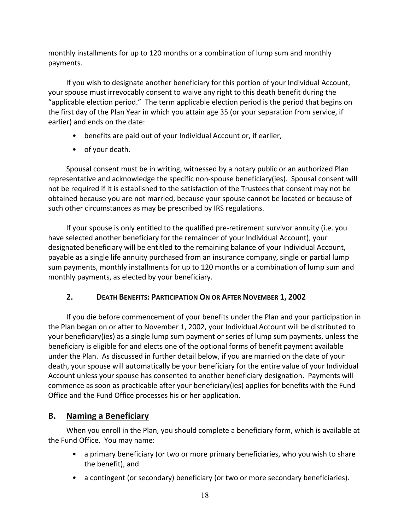monthly installments for up to 120 months or a combination of lump sum and monthly payments.

If you wish to designate another beneficiary for this portion of your Individual Account, your spouse must irrevocably consent to waive any right to this death benefit during the "applicable election period." The term applicable election period is the period that begins on the first day of the Plan Year in which you attain age 35 (or your separation from service, if earlier) and ends on the date:

- benefits are paid out of your Individual Account or, if earlier,
- of your death.

Spousal consent must be in writing, witnessed by a notary public or an authorized Plan representative and acknowledge the specific non‐spouse beneficiary(ies). Spousal consent will not be required if it is established to the satisfaction of the Trustees that consent may not be obtained because you are not married, because your spouse cannot be located or because of such other circumstances as may be prescribed by IRS regulations.

If your spouse is only entitled to the qualified pre‐retirement survivor annuity (i.e. you have selected another beneficiary for the remainder of your Individual Account), your designated beneficiary will be entitled to the remaining balance of your Individual Account, payable as a single life annuity purchased from an insurance company, single or partial lump sum payments, monthly installments for up to 120 months or a combination of lump sum and monthly payments, as elected by your beneficiary.

# **2. DEATH BENEFITS: PARTICIPATION ON OR AFTER NOVEMBER 1, 2002**

If you die before commencement of your benefits under the Plan and your participation in the Plan began on or after to November 1, 2002, your Individual Account will be distributed to your beneficiary(ies) as a single lump sum payment or series of lump sum payments, unless the beneficiary is eligible for and elects one of the optional forms of benefit payment available under the Plan. As discussed in further detail below, if you are married on the date of your death, your spouse will automatically be your beneficiary for the entire value of your Individual Account unless your spouse has consented to another beneficiary designation. Payments will commence as soon as practicable after your beneficiary(ies) applies for benefits with the Fund Office and the Fund Office processes his or her application.

# **B. Naming a Beneficiary**

When you enroll in the Plan, you should complete a beneficiary form, which is available at the Fund Office. You may name:

- a primary beneficiary (or two or more primary beneficiaries, who you wish to share the benefit), and
- a contingent (or secondary) beneficiary (or two or more secondary beneficiaries).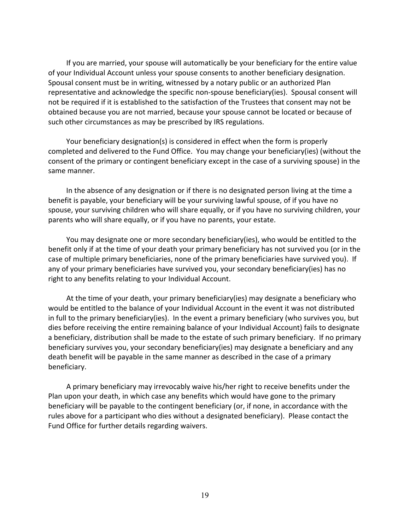If you are married, your spouse will automatically be your beneficiary for the entire value of your Individual Account unless your spouse consents to another beneficiary designation. Spousal consent must be in writing, witnessed by a notary public or an authorized Plan representative and acknowledge the specific non-spouse beneficiary(ies). Spousal consent will not be required if it is established to the satisfaction of the Trustees that consent may not be obtained because you are not married, because your spouse cannot be located or because of such other circumstances as may be prescribed by IRS regulations.

Your beneficiary designation(s) is considered in effect when the form is properly completed and delivered to the Fund Office. You may change your beneficiary(ies) (without the consent of the primary or contingent beneficiary except in the case of a surviving spouse) in the same manner.

In the absence of any designation or if there is no designated person living at the time a benefit is payable, your beneficiary will be your surviving lawful spouse, of if you have no spouse, your surviving children who will share equally, or if you have no surviving children, your parents who will share equally, or if you have no parents, your estate.

You may designate one or more secondary beneficiary(ies), who would be entitled to the benefit only if at the time of your death your primary beneficiary has not survived you (or in the case of multiple primary beneficiaries, none of the primary beneficiaries have survived you). If any of your primary beneficiaries have survived you, your secondary beneficiary(ies) has no right to any benefits relating to your Individual Account.

At the time of your death, your primary beneficiary(ies) may designate a beneficiary who would be entitled to the balance of your Individual Account in the event it was not distributed in full to the primary beneficiary(ies). In the event a primary beneficiary (who survives you, but dies before receiving the entire remaining balance of your Individual Account) fails to designate a beneficiary, distribution shall be made to the estate of such primary beneficiary. If no primary beneficiary survives you, your secondary beneficiary(ies) may designate a beneficiary and any death benefit will be payable in the same manner as described in the case of a primary beneficiary.

A primary beneficiary may irrevocably waive his/her right to receive benefits under the Plan upon your death, in which case any benefits which would have gone to the primary beneficiary will be payable to the contingent beneficiary (or, if none, in accordance with the rules above for a participant who dies without a designated beneficiary). Please contact the Fund Office for further details regarding waivers.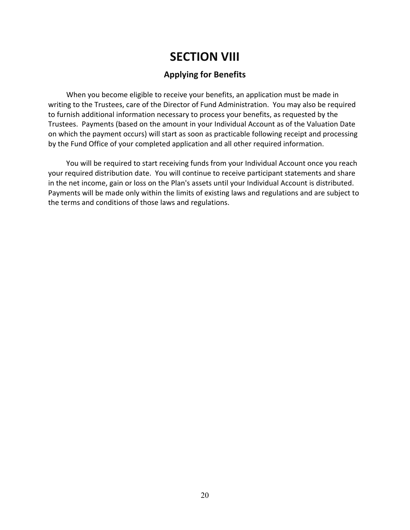# **SECTION VIII**

## **Applying for Benefits**

When you become eligible to receive your benefits, an application must be made in writing to the Trustees, care of the Director of Fund Administration. You may also be required to furnish additional information necessary to process your benefits, as requested by the Trustees. Payments (based on the amount in your Individual Account as of the Valuation Date on which the payment occurs) will start as soon as practicable following receipt and processing by the Fund Office of your completed application and all other required information.

You will be required to start receiving funds from your Individual Account once you reach your required distribution date. You will continue to receive participant statements and share in the net income, gain or loss on the Plan's assets until your Individual Account is distributed. Payments will be made only within the limits of existing laws and regulations and are subject to the terms and conditions of those laws and regulations.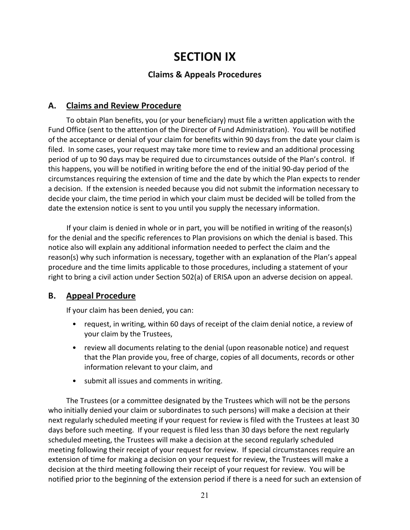# **SECTION IX**

# **Claims & Appeals Procedures**

### **A. Claims and Review Procedure**

To obtain Plan benefits, you (or your beneficiary) must file a written application with the Fund Office (sent to the attention of the Director of Fund Administration). You will be notified of the acceptance or denial of your claim for benefits within 90 days from the date your claim is filed. In some cases, your request may take more time to review and an additional processing period of up to 90 days may be required due to circumstances outside of the Plan's control. If this happens, you will be notified in writing before the end of the initial 90‐day period of the circumstances requiring the extension of time and the date by which the Plan expects to render a decision. If the extension is needed because you did not submit the information necessary to decide your claim, the time period in which your claim must be decided will be tolled from the date the extension notice is sent to you until you supply the necessary information.

If your claim is denied in whole or in part, you will be notified in writing of the reason(s) for the denial and the specific references to Plan provisions on which the denial is based. This notice also will explain any additional information needed to perfect the claim and the reason(s) why such information is necessary, together with an explanation of the Plan's appeal procedure and the time limits applicable to those procedures, including a statement of your right to bring a civil action under Section 502(a) of ERISA upon an adverse decision on appeal.

### **B. Appeal Procedure**

If your claim has been denied, you can:

- request, in writing, within 60 days of receipt of the claim denial notice, a review of your claim by the Trustees,
- review all documents relating to the denial (upon reasonable notice) and request that the Plan provide you, free of charge, copies of all documents, records or other information relevant to your claim, and
- submit all issues and comments in writing.

The Trustees (or a committee designated by the Trustees which will not be the persons who initially denied your claim or subordinates to such persons) will make a decision at their next regularly scheduled meeting if your request for review is filed with the Trustees at least 30 days before such meeting. If your request is filed less than 30 days before the next regularly scheduled meeting, the Trustees will make a decision at the second regularly scheduled meeting following their receipt of your request for review. If special circumstances require an extension of time for making a decision on your request for review, the Trustees will make a decision at the third meeting following their receipt of your request for review. You will be notified prior to the beginning of the extension period if there is a need for such an extension of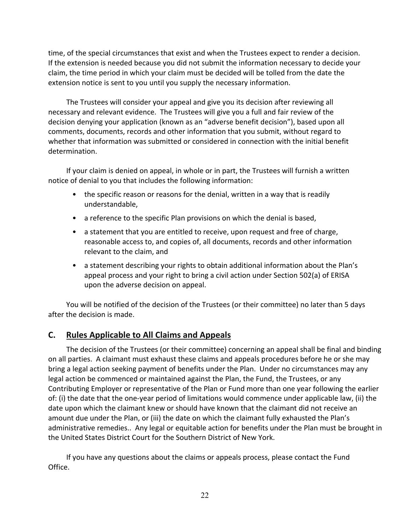time, of the special circumstances that exist and when the Trustees expect to render a decision. If the extension is needed because you did not submit the information necessary to decide your claim, the time period in which your claim must be decided will be tolled from the date the extension notice is sent to you until you supply the necessary information.

The Trustees will consider your appeal and give you its decision after reviewing all necessary and relevant evidence. The Trustees will give you a full and fair review of the decision denying your application (known as an "adverse benefit decision"), based upon all comments, documents, records and other information that you submit, without regard to whether that information was submitted or considered in connection with the initial benefit determination.

If your claim is denied on appeal, in whole or in part, the Trustees will furnish a written notice of denial to you that includes the following information:

- the specific reason or reasons for the denial, written in a way that is readily understandable,
- a reference to the specific Plan provisions on which the denial is based,
- a statement that you are entitled to receive, upon request and free of charge, reasonable access to, and copies of, all documents, records and other information relevant to the claim, and
- a statement describing your rights to obtain additional information about the Plan's appeal process and your right to bring a civil action under Section 502(a) of ERISA upon the adverse decision on appeal.

You will be notified of the decision of the Trustees (or their committee) no later than 5 days after the decision is made.

# **C. Rules Applicable to All Claims and Appeals**

The decision of the Trustees (or their committee) concerning an appeal shall be final and binding on all parties. A claimant must exhaust these claims and appeals procedures before he or she may bring a legal action seeking payment of benefits under the Plan. Under no circumstances may any legal action be commenced or maintained against the Plan, the Fund, the Trustees, or any Contributing Employer or representative of the Plan or Fund more than one year following the earlier of: (i) the date that the one‐year period of limitations would commence under applicable law, (ii) the date upon which the claimant knew or should have known that the claimant did not receive an amount due under the Plan, or (iii) the date on which the claimant fully exhausted the Plan's administrative remedies.. Any legal or equitable action for benefits under the Plan must be brought in the United States District Court for the Southern District of New York.

If you have any questions about the claims or appeals process, please contact the Fund Office.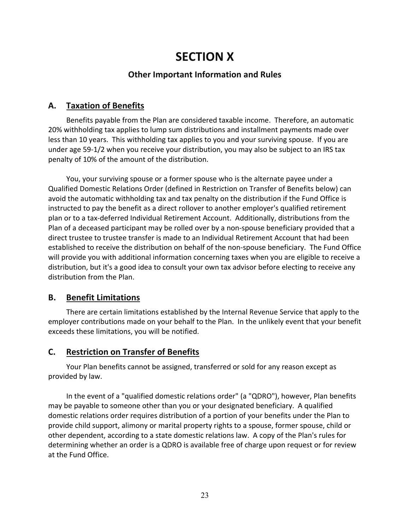# **SECTION X**

# **Other Important Information and Rules**

### **A. Taxation of Benefits**

Benefits payable from the Plan are considered taxable income. Therefore, an automatic 20% withholding tax applies to lump sum distributions and installment payments made over less than 10 years. This withholding tax applies to you and your surviving spouse. If you are under age 59‐1/2 when you receive your distribution, you may also be subject to an IRS tax penalty of 10% of the amount of the distribution.

You, your surviving spouse or a former spouse who is the alternate payee under a Qualified Domestic Relations Order (defined in Restriction on Transfer of Benefits below) can avoid the automatic withholding tax and tax penalty on the distribution if the Fund Office is instructed to pay the benefit as a direct rollover to another employer's qualified retirement plan or to a tax‐deferred Individual Retirement Account. Additionally, distributions from the Plan of a deceased participant may be rolled over by a non‐spouse beneficiary provided that a direct trustee to trustee transfer is made to an Individual Retirement Account that had been established to receive the distribution on behalf of the non‐spouse beneficiary. The Fund Office will provide you with additional information concerning taxes when you are eligible to receive a distribution, but it's a good idea to consult your own tax advisor before electing to receive any distribution from the Plan.

# **B. Benefit Limitations**

There are certain limitations established by the Internal Revenue Service that apply to the employer contributions made on your behalf to the Plan. In the unlikely event that your benefit exceeds these limitations, you will be notified.

# **C. Restriction on Transfer of Benefits**

Your Plan benefits cannot be assigned, transferred or sold for any reason except as provided by law.

In the event of a "qualified domestic relations order" (a "QDRO"), however, Plan benefits may be payable to someone other than you or your designated beneficiary. A qualified domestic relations order requires distribution of a portion of your benefits under the Plan to provide child support, alimony or marital property rights to a spouse, former spouse, child or other dependent, according to a state domestic relations law. A copy of the Plan's rules for determining whether an order is a QDRO is available free of charge upon request or for review at the Fund Office.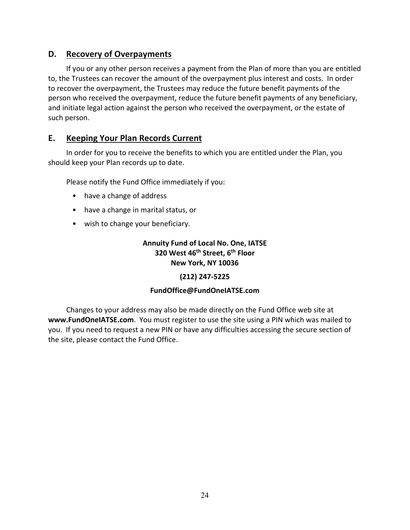# **D. Recovery of Overpayments**

If you or any other person receives a payment from the Plan of more than you are entitled to, the Trustees can recover the amount of the overpayment plus interest and costs. In order to recover the overpayment, the Trustees may reduce the future benefit payments of the person who received the overpayment, reduce the future benefit payments of any beneficiary, and initiate legal action against the person who received the overpayment, or the estate of such person.

### **E. Keeping Your Plan Records Current**

In order for you to receive the benefits to which you are entitled under the Plan, you should keep your Plan records up to date.

Please notify the Fund Office immediately if you:

- have a change of address
- have a change in marital status, or
- wish to change your beneficiary.

### **Annuity Fund of Local No. One, IATSE 320 West 46th Street, 6th Floor New York, NY 10036**

### **(212) 247‐5225**

#### **FundOffice@FundOneIATSE.com**

Changes to your address may also be made directly on the Fund Office web site at **www.FundOneIATSE.com**. You must register to use the site using a PIN which was mailed to you. If you need to request a new PIN or have any difficulties accessing the secure section of the site, please contact the Fund Office.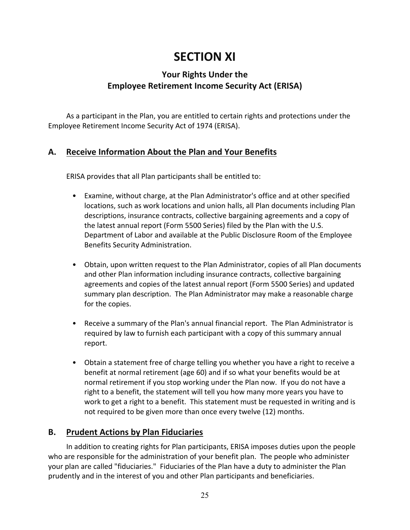# **SECTION XI**

# **Your Rights Under the Employee Retirement Income Security Act (ERISA)**

As a participant in the Plan, you are entitled to certain rights and protections under the Employee Retirement Income Security Act of 1974 (ERISA).

# **A. Receive Information About the Plan and Your Benefits**

ERISA provides that all Plan participants shall be entitled to:

- Examine, without charge, at the Plan Administrator's office and at other specified locations, such as work locations and union halls, all Plan documents including Plan descriptions, insurance contracts, collective bargaining agreements and a copy of the latest annual report (Form 5500 Series) filed by the Plan with the U.S. Department of Labor and available at the Public Disclosure Room of the Employee Benefits Security Administration.
- Obtain, upon written request to the Plan Administrator, copies of all Plan documents and other Plan information including insurance contracts, collective bargaining agreements and copies of the latest annual report (Form 5500 Series) and updated summary plan description. The Plan Administrator may make a reasonable charge for the copies.
- Receive a summary of the Plan's annual financial report. The Plan Administrator is required by law to furnish each participant with a copy of this summary annual report.
- Obtain a statement free of charge telling you whether you have a right to receive a benefit at normal retirement (age 60) and if so what your benefits would be at normal retirement if you stop working under the Plan now. If you do not have a right to a benefit, the statement will tell you how many more years you have to work to get a right to a benefit. This statement must be requested in writing and is not required to be given more than once every twelve (12) months.

# **B. Prudent Actions by Plan Fiduciaries**

In addition to creating rights for Plan participants, ERISA imposes duties upon the people who are responsible for the administration of your benefit plan. The people who administer your plan are called "fiduciaries." Fiduciaries of the Plan have a duty to administer the Plan prudently and in the interest of you and other Plan participants and beneficiaries.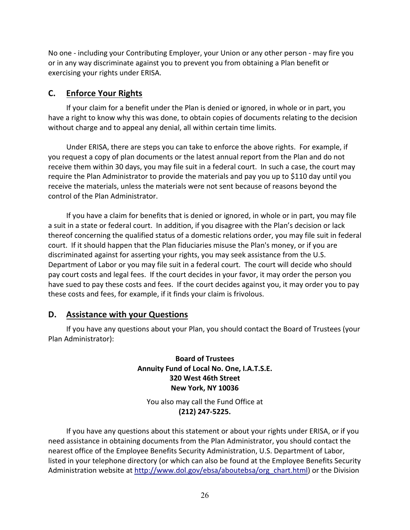No one ‐ including your Contributing Employer, your Union or any other person ‐ may fire you or in any way discriminate against you to prevent you from obtaining a Plan benefit or exercising your rights under ERISA.

### **C. Enforce Your Rights**

If your claim for a benefit under the Plan is denied or ignored, in whole or in part, you have a right to know why this was done, to obtain copies of documents relating to the decision without charge and to appeal any denial, all within certain time limits.

Under ERISA, there are steps you can take to enforce the above rights. For example, if you request a copy of plan documents or the latest annual report from the Plan and do not receive them within 30 days, you may file suit in a federal court. In such a case, the court may require the Plan Administrator to provide the materials and pay you up to \$110 day until you receive the materials, unless the materials were not sent because of reasons beyond the control of the Plan Administrator.

If you have a claim for benefits that is denied or ignored, in whole or in part, you may file a suit in a state or federal court. In addition, if you disagree with the Plan's decision or lack thereof concerning the qualified status of a domestic relations order, you may file suit in federal court. If it should happen that the Plan fiduciaries misuse the Plan's money, or if you are discriminated against for asserting your rights, you may seek assistance from the U.S. Department of Labor or you may file suit in a federal court. The court will decide who should pay court costs and legal fees. If the court decides in your favor, it may order the person you have sued to pay these costs and fees. If the court decides against you, it may order you to pay these costs and fees, for example, if it finds your claim is frivolous.

### **D. Assistance with your Questions**

If you have any questions about your Plan, you should contact the Board of Trustees (your Plan Administrator):

### **Board of Trustees Annuity Fund of Local No. One, I.A.T.S.E. 320 West 46th Street New York, NY 10036**

You also may call the Fund Office at **(212) 247‐5225.**

If you have any questions about this statement or about your rights under ERISA, or if you need assistance in obtaining documents from the Plan Administrator, you should contact the nearest office of the Employee Benefits Security Administration, U.S. Department of Labor, listed in your telephone directory (or which can also be found at the Employee Benefits Security Administration website at http://www.dol.gov/ebsa/aboutebsa/org\_chart.html) or the Division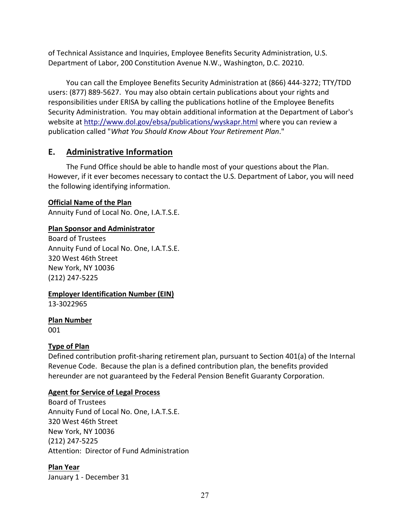of Technical Assistance and Inquiries, Employee Benefits Security Administration, U.S. Department of Labor, 200 Constitution Avenue N.W., Washington, D.C. 20210.

You can call the Employee Benefits Security Administration at (866) 444‐3272; TTY/TDD users: (877) 889‐5627. You may also obtain certain publications about your rights and responsibilities under ERISA by calling the publications hotline of the Employee Benefits Security Administration. You may obtain additional information at the Department of Labor's website at http://www.dol.gov/ebsa/publications/wyskapr.html where you can review a publication called "*What You Should Know About Your Retirement Plan*."

# **E. Administrative Information**

The Fund Office should be able to handle most of your questions about the Plan. However, if it ever becomes necessary to contact the U.S. Department of Labor, you will need the following identifying information.

### **Official Name of the Plan**

Annuity Fund of Local No. One, I.A.T.S.E.

### **Plan Sponsor and Administrator**

Board of Trustees Annuity Fund of Local No. One, I.A.T.S.E. 320 West 46th Street New York, NY 10036 (212) 247‐5225

### **Employer Identification Number (EIN)**

13‐3022965

**Plan Number**

001

### **Type of Plan**

Defined contribution profit-sharing retirement plan, pursuant to Section 401(a) of the Internal Revenue Code. Because the plan is a defined contribution plan, the benefits provided hereunder are not guaranteed by the Federal Pension Benefit Guaranty Corporation.

### **Agent for Service of Legal Process**

Board of Trustees Annuity Fund of Local No. One, I.A.T.S.E. 320 West 46th Street New York, NY 10036 (212) 247‐5225 Attention: Director of Fund Administration

### **Plan Year**

January 1 ‐ December 31